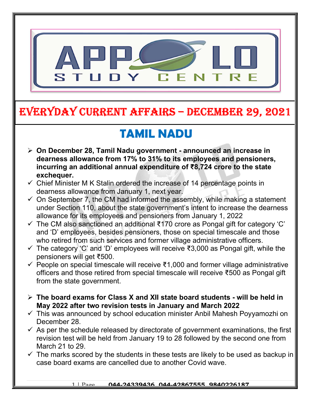

### EVERYDAY CURRENT AFFAIRS – DECEMBER 29, 2021

-

## TAMIL NADU

- On December 28, Tamil Nadu government announced an increase in dearness allowance from 17% to 31% to its employees and pensioners, incurring an additional annual expenditure of ₹8,724 crore to the state exchequer.
- $\checkmark$  Chief Minister M K Stalin ordered the increase of 14 percentage points in dearness allowance from January 1, next year.
- $\checkmark$  On September 7, the CM had informed the assembly, while making a statement under Section 110, about the state government's intent to increase the dearness allowance for its employees and pensioners from January 1, 2022
- The CM also sanctioned an additional ₹170 crore as Pongal gift for category 'C' and 'D' employees, besides pensioners, those on special timescale and those who retired from such services and former village administrative officers.
- $\checkmark$  The category 'C' and 'D' employees will receive ₹3,000 as Pongal gift, while the pensioners will get ₹500.
- People on special timescale will receive ₹1,000 and former village administrative officers and those retired from special timescale will receive ₹500 as Pongal gift from the state government.
- $\triangleright$  The board exams for Class X and XII state board students will be held in May 2022 after two revision tests in January and March 2022
- $\checkmark$  This was announced by school education minister Anbil Mahesh Poyyamozhi on December 28.
- $\checkmark$  As per the schedule released by directorate of government examinations, the first revision test will be held from January 19 to 28 followed by the second one from March 21 to 29.
- $\checkmark$  The marks scored by the students in these tests are likely to be used as backup in case board exams are cancelled due to another Covid wave.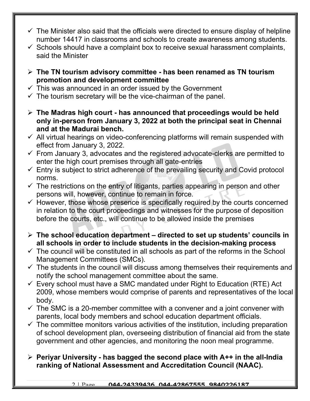- $\checkmark$  The Minister also said that the officials were directed to ensure display of helpline number 14417 in classrooms and schools to create awareness among students.
- $\checkmark$  Schools should have a complaint box to receive sexual harassment complaints, said the Minister
- $\triangleright$  The TN tourism advisory committee has been renamed as TN tourism promotion and development committee
- $\checkmark$  This was announced in an order issued by the Government
- $\checkmark$  The tourism secretary will be the vice-chairman of the panel.
- $\triangleright$  The Madras high court has announced that proceedings would be held only in-person from January 3, 2022 at both the principal seat in Chennai and at the Madurai bench.
- $\checkmark$  All virtual hearings on video-conferencing platforms will remain suspended with effect from January 3, 2022.
- $\checkmark$  From January 3, advocates and the registered advocate-clerks are permitted to enter the high court premises through all gate-entries
- $\checkmark$  Entry is subject to strict adherence of the prevailing security and Covid protocol norms.
- $\checkmark$  The restrictions on the entry of litigants, parties appearing in person and other persons will, however, continue to remain in force.
- $\checkmark$  However, those whose presence is specifically required by the courts concerned in relation to the court proceedings and witnesses for the purpose of deposition before the courts, etc., will continue to be allowed inside the premises
- $\triangleright$  The school education department directed to set up students' councils in all schools in order to include students in the decision-making process
- $\checkmark$  The council will be constituted in all schools as part of the reforms in the School Management Committees (SMCs).
- $\checkmark$  The students in the council will discuss among themselves their requirements and notify the school management committee about the same.
- $\checkmark$  Every school must have a SMC mandated under Right to Education (RTE) Act 2009, whose members would comprise of parents and representatives of the local body.
- $\checkmark$  The SMC is a 20-member committee with a convener and a joint convener with parents, local body members and school education department officials.
- $\checkmark$  The committee monitors various activities of the institution, including preparation of school development plan, overseeing distribution of financial aid from the state government and other agencies, and monitoring the noon meal programme.
- $\triangleright$  Periyar University has bagged the second place with A++ in the all-India ranking of National Assessment and Accreditation Council (NAAC).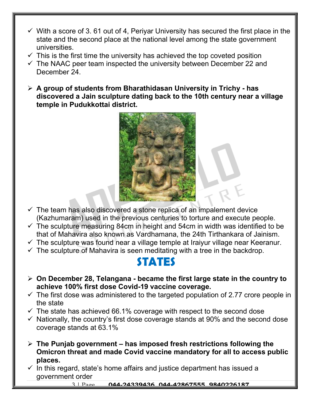- $\checkmark$  With a score of 3.61 out of 4, Periyar University has secured the first place in the state and the second place at the national level among the state government universities.
- $\checkmark$  This is the first time the university has achieved the top coveted position
- $\checkmark$  The NAAC peer team inspected the university between December 22 and December 24.
- $\triangleright$  A group of students from Bharathidasan University in Trichy has discovered a Jain sculpture dating back to the 10th century near a village temple in Pudukkottai district.



- $\checkmark$  The team has also discovered a stone replica of an impalement device (Kazhumaram) used in the previous centuries to torture and execute people.
- $\checkmark$  The sculpture measuring 84cm in height and 54cm in width was identified to be that of Mahavira also known as Vardhamana, the 24th Tirthankara of Jainism.
- $\checkmark$  The sculpture was found near a village temple at Iraiyur village near Keeranur.
- $\checkmark$  The sculpture of Mahavira is seen meditating with a tree in the backdrop.

#### STATES

- $\triangleright$  On December 28, Telangana became the first large state in the country to achieve 100% first dose Covid-19 vaccine coverage.
- $\checkmark$  The first dose was administered to the targeted population of 2.77 crore people in the state
- $\checkmark$  The state has achieved 66.1% coverage with respect to the second dose
- $\checkmark$  Nationally, the country's first dose coverage stands at 90% and the second dose coverage stands at 63.1%
- $\triangleright$  The Punjab government has imposed fresh restrictions following the Omicron threat and made Covid vaccine mandatory for all to access public places.
- $\checkmark$  In this regard, state's home affairs and justice department has issued a government order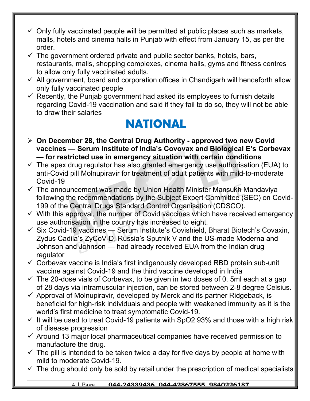- $\checkmark$  Only fully vaccinated people will be permitted at public places such as markets, malls, hotels and cinema halls in Punjab with effect from January 15, as per the order.
- $\checkmark$  The government ordered private and public sector banks, hotels, bars, restaurants, malls, shopping complexes, cinema halls, gyms and fitness centres to allow only fully vaccinated adults.
- $\checkmark$  All government, board and corporation offices in Chandigarh will henceforth allow only fully vaccinated people
- $\checkmark$  Recently, the Punjab government had asked its employees to furnish details regarding Covid-19 vaccination and said if they fail to do so, they will not be able to draw their salaries

## NATIONAL

- $\triangleright$  On December 28, the Central Drug Authority approved two new Covid vaccines — Serum Institute of India's Covovax and Biological E's Corbevax — for restricted use in emergency situation with certain conditions
- $\checkmark$  The apex drug regulator has also granted emergency use authorisation (EUA) to anti-Covid pill Molnupiravir for treatment of adult patients with mild-to-moderate Covid-19
- $\checkmark$  The announcement was made by Union Health Minister Mansukh Mandaviya following the recommendations by the Subject Expert Committee (SEC) on Covid-199 of the Central Drugs Standard Control Organisation (CDSCO).
- $\checkmark$  With this approval, the number of Covid vaccines which have received emergency use authorisation in the country has increased to eight.
- $\checkmark$  Six Covid-19 vaccines Serum Institute's Covishield, Bharat Biotech's Covaxin, Zydus Cadila's ZyCoV-D, Russia's Sputnik V and the US-made Moderna and Johnson and Johnson — had already received EUA from the Indian drug regulator
- $\checkmark$  Corbevax vaccine is India's first indigenously developed RBD protein sub-unit vaccine against Covid-19 and the third vaccine developed in India
- $\checkmark$  The 20-dose vials of Corbevax, to be given in two doses of 0. 5ml each at a gap of 28 days via intramuscular injection, can be stored between 2-8 degree Celsius.
- $\checkmark$  Approval of Molnupiravir, developed by Merck and its partner Ridgeback, is beneficial for high-risk individuals and people with weakened immunity as it is the world's first medicine to treat symptomatic Covid-19.
- $\checkmark$  It will be used to treat Covid-19 patients with SpO2 93% and those with a high risk of disease progression
- $\checkmark$  Around 13 major local pharmaceutical companies have received permission to manufacture the drug.
- $\checkmark$  The pill is intended to be taken twice a day for five days by people at home with mild to moderate Covid-19.
- $\checkmark$  The drug should only be sold by retail under the prescription of medical specialists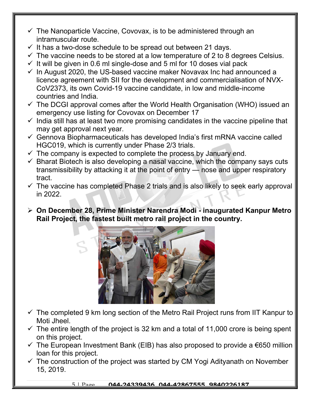- $\checkmark$  The Nanoparticle Vaccine, Covovax, is to be administered through an intramuscular route.
- $\checkmark$  It has a two-dose schedule to be spread out between 21 days.
- $\checkmark$  The vaccine needs to be stored at a low temperature of 2 to 8 degrees Celsius.
- $\checkmark$  It will be given in 0.6 ml single-dose and 5 ml for 10 doses vial pack
- $\checkmark$  In August 2020, the US-based vaccine maker Novavax Inc had announced a licence agreement with SII for the development and commercialisation of NVX-CoV2373, its own Covid-19 vaccine candidate, in low and middle-income countries and India.
- $\checkmark$  The DCGI approval comes after the World Health Organisation (WHO) issued an emergency use listing for Covovax on December 17
- $\checkmark$  India still has at least two more promising candidates in the vaccine pipeline that may get approval next year.
- $\checkmark$  Gennova Biopharmaceuticals has developed India's first mRNA vaccine called HGC019, which is currently under Phase 2/3 trials.
- $\checkmark$  The company is expected to complete the process by January end.
- $\checkmark$  Bharat Biotech is also developing a nasal vaccine, which the company says cuts transmissibility by attacking it at the point of entry — nose and upper respiratory tract.
- $\checkmark$  The vaccine has completed Phase 2 trials and is also likely to seek early approval in 2022.
- On December 28, Prime Minister Narendra Modi inaugurated Kanpur Metro Rail Project, the fastest built metro rail project in the country.



- $\checkmark$  The completed 9 km long section of the Metro Rail Project runs from IIT Kanpur to Moti Jheel.
- $\checkmark$  The entire length of the project is 32 km and a total of 11,000 crore is being spent on this project.
- $\checkmark$  The European Investment Bank (EIB) has also proposed to provide a €650 million loan for this project.
- $\checkmark$  The construction of the project was started by CM Yogi Adityanath on November 15, 2019.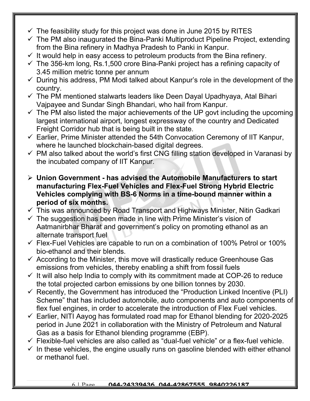- $\checkmark$  The feasibility study for this project was done in June 2015 by RITES
- $\checkmark$  The PM also inaugurated the Bina-Panki Multiproduct Pipeline Project, extending from the Bina refinery in Madhya Pradesh to Panki in Kanpur.
- $\checkmark$  It would help in easy access to petroleum products from the Bina refinery.
- $\checkmark$  The 356-km long, Rs.1,500 crore Bina-Panki project has a refining capacity of 3.45 million metric tonne per annum
- $\checkmark$  During his address, PM Modi talked about Kanpur's role in the development of the country.
- $\checkmark$  The PM mentioned stalwarts leaders like Deen Dayal Upadhyaya, Atal Bihari Vajpayee and Sundar Singh Bhandari, who hail from Kanpur.
- $\checkmark$  The PM also listed the major achievements of the UP govt including the upcoming largest international airport, longest expressway of the country and Dedicated Freight Corridor hub that is being built in the state.
- $\checkmark$  Earlier, Prime Minister attended the 54th Convocation Ceremony of IIT Kanpur, where he launched blockchain-based digital degrees.
- $\checkmark$  PM also talked about the world's first CNG filling station developed in Varanasi by the incubated company of IIT Kanpur.
- $\triangleright$  Union Government has advised the Automobile Manufacturers to start manufacturing Flex-Fuel Vehicles and Flex-Fuel Strong Hybrid Electric Vehicles complying with BS-6 Norms in a time-bound manner within a period of six months.
- $\checkmark$  This was announced by Road Transport and Highways Minister, Nitin Gadkari
- $\checkmark$  The suggestion has been made in line with Prime Minister's vision of Aatmanirbhar Bharat and government's policy on promoting ethanol as an alternate transport fuel
- $\checkmark$  Flex-Fuel Vehicles are capable to run on a combination of 100% Petrol or 100% bio-ethanol and their blends.
- $\checkmark$  According to the Minister, this move will drastically reduce Greenhouse Gas emissions from vehicles, thereby enabling a shift from fossil fuels
- $\checkmark$  It will also help India to comply with its commitment made at COP-26 to reduce the total projected carbon emissions by one billion tonnes by 2030.
- $\checkmark$  Recently, the Government has introduced the "Production Linked Incentive (PLI) Scheme" that has included automobile, auto components and auto components of flex fuel engines, in order to accelerate the introduction of Flex Fuel vehicles.
- $\checkmark$  Earlier, NITI Aayog has formulated road map for Ethanol blending for 2020-2025 period in June 2021 in collaboration with the Ministry of Petroleum and Natural Gas as a basis for Ethanol blending programme (EBP).
- $\checkmark$  Flexible-fuel vehicles are also called as "dual-fuel vehicle" or a flex-fuel vehicle.
- $\checkmark$  In these vehicles, the engine usually runs on gasoline blended with either ethanol or methanol fuel.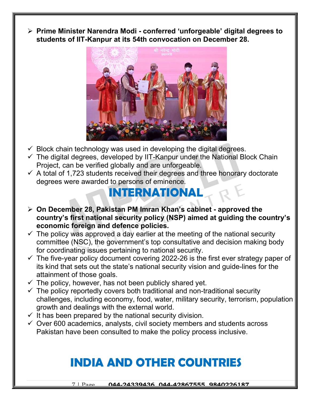$\triangleright$  Prime Minister Narendra Modi - conferred 'unforgeable' digital degrees to students of IIT-Kanpur at its 54th convocation on December 28.



- $\checkmark$  Block chain technology was used in developing the digital degrees.
- $\checkmark$  The digital degrees, developed by IIT-Kanpur under the National Block Chain Project, can be verified globally and are unforgeable.
- $\checkmark$  A total of 1,723 students received their degrees and three honorary doctorate degrees were awarded to persons of eminence.

#### INTERNATIONAL

- On December 28, Pakistan PM Imran Khan's cabinet approved the country's first national security policy (NSP) aimed at guiding the country's economic foreign and defence policies.
- $\checkmark$  The policy was approved a day earlier at the meeting of the national security committee (NSC), the government's top consultative and decision making body for coordinating issues pertaining to national security.
- $\checkmark$  The five-year policy document covering 2022-26 is the first ever strategy paper of its kind that sets out the state's national security vision and guide-lines for the attainment of those goals.
- $\checkmark$  The policy, however, has not been publicly shared yet.
- $\checkmark$  The policy reportedly covers both traditional and non-traditional security challenges, including economy, food, water, military security, terrorism, population growth and dealings with the external world.
- $\checkmark$  It has been prepared by the national security division.
- $\checkmark$  Over 600 academics, analysts, civil society members and students across Pakistan have been consulted to make the policy process inclusive.

## INDIA AND OTHER COUNTRIES

7 | Page 044-24339436, 044-42867555, 9840226187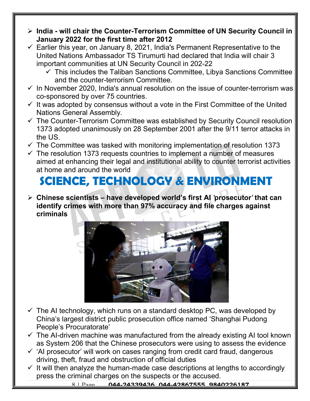- $\triangleright$  India will chair the Counter-Terrorism Committee of UN Security Council in January 2022 for the first time after 2012
- $\checkmark$  Earlier this year, on January 8, 2021, India's Permanent Representative to the United Nations Ambassador TS Tirumurti had declared that India will chair 3 important communities at UN Security Council in 202-22
	- $\checkmark$  This includes the Taliban Sanctions Committee, Libya Sanctions Committee and the counter-terrorism Committee.
- $\checkmark$  In November 2020, India's annual resolution on the issue of counter-terrorism was co-sponsored by over 75 countries.
- $\checkmark$  It was adopted by consensus without a vote in the First Committee of the United Nations General Assembly.
- $\checkmark$  The Counter-Terrorism Committee was established by Security Council resolution 1373 adopted unanimously on 28 September 2001 after the 9/11 terror attacks in the US.
- $\checkmark$  The Committee was tasked with monitoring implementation of resolution 1373
- $\checkmark$  The resolution 1373 requests countries to implement a number of measures aimed at enhancing their legal and institutional ability to counter terrorist activities at home and around the world

# SCIENCE, TECHNOLOGY & ENVIRONMENT

 $\triangleright$  Chinese scientists – have developed world's first AI 'prosecutor' that can identify crimes with more than 97% accuracy and file charges against criminals



- $\checkmark$  The AI technology, which runs on a standard desktop PC, was developed by China's largest district public prosecution office named 'Shanghai Pudong People's Procuratorate'
- $\checkmark$  The AI-driven machine was manufactured from the already existing AI tool known as System 206 that the Chinese prosecutors were using to assess the evidence
- $\checkmark$  'AI prosecutor' will work on cases ranging from credit card fraud, dangerous driving, theft, fraud and obstruction of official duties
- $\checkmark$  It will then analyze the human-made case descriptions at lengths to accordingly press the criminal charges on the suspects or the accused.